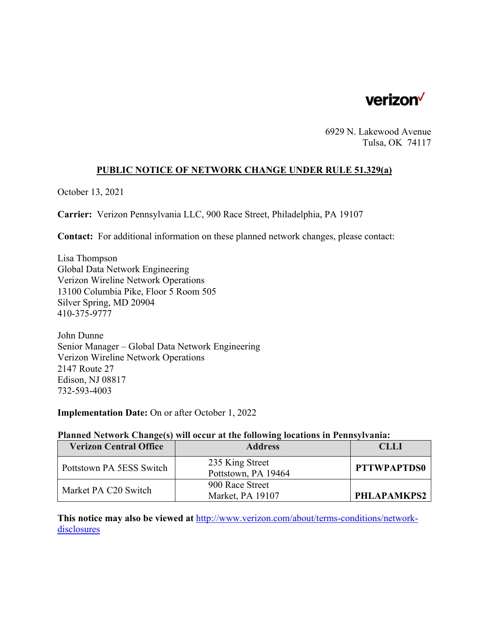

6929 N. Lakewood Avenue Tulsa, OK 74117

# **PUBLIC NOTICE OF NETWORK CHANGE UNDER RULE 51.329(a)**

October 13, 2021

**Carrier:** Verizon Pennsylvania LLC, 900 Race Street, Philadelphia, PA 19107

**Contact:** For additional information on these planned network changes, please contact:

Lisa Thompson Global Data Network Engineering Verizon Wireline Network Operations 13100 Columbia Pike, Floor 5 Room 505 Silver Spring, MD 20904 410-375-9777

John Dunne Senior Manager – Global Data Network Engineering Verizon Wireline Network Operations 2147 Route 27 Edison, NJ 08817 732-593-4003

**Implementation Date:** On or after October 1, 2022

#### **Planned Network Change(s) will occur at the following locations in Pennsylvania:**

| <b>Verizon Central Office</b> | <b>Address</b>                         | CLLI               |
|-------------------------------|----------------------------------------|--------------------|
| Pottstown PA 5ESS Switch      | 235 King Street<br>Pottstown, PA 19464 | <b>PTTWPAPTDS0</b> |
| Market PA C20 Switch          | 900 Race Street<br>Market, PA 19107    | PHLAPAMKPS2        |

**This notice may also be viewed at** http://www.verizon.com/about/terms-conditions/networkdisclosures